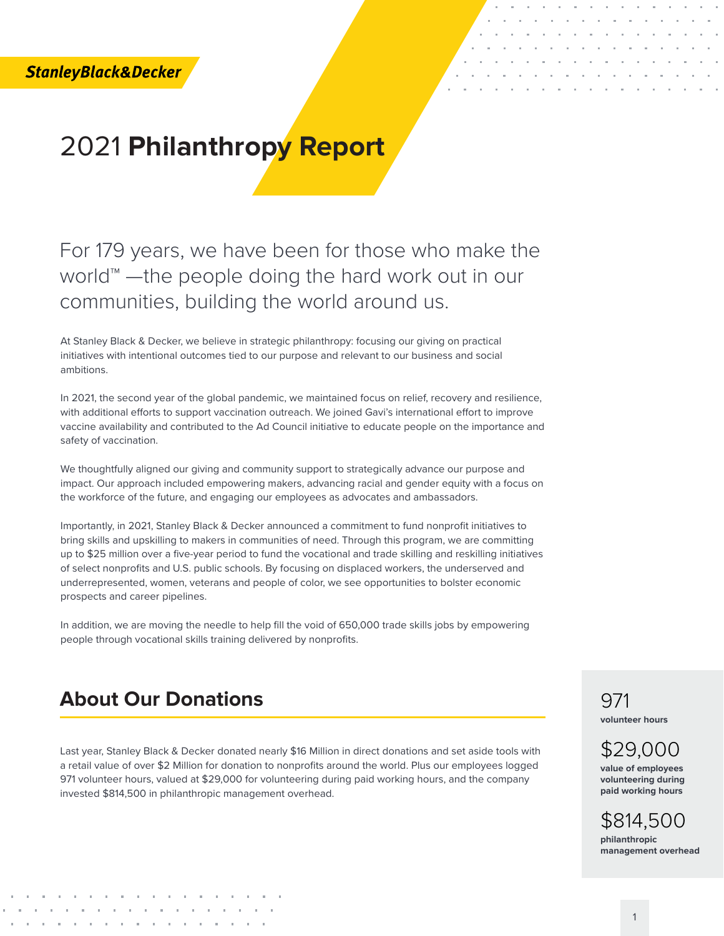**StanleyBlack&Decker** 

# 2021 **Philanthropy Report**

# For 179 years, we have been for those who make the world™ —the people doing the hard work out in our communities, building the world around us.

At Stanley Black & Decker, we believe in strategic philanthropy: focusing our giving on practical initiatives with intentional outcomes tied to our purpose and relevant to our business and social ambitions.

In 2021, the second year of the global pandemic, we maintained focus on relief, recovery and resilience, with additional efforts to support vaccination outreach. We joined Gavi's international effort to improve vaccine availability and contributed to the Ad Council initiative to educate people on the importance and safety of vaccination.

We thoughtfully aligned our giving and community support to strategically advance our purpose and impact. Our approach included empowering makers, advancing racial and gender equity with a focus on the workforce of the future, and engaging our employees as advocates and ambassadors.

Importantly, in 2021, Stanley Black & Decker announced a commitment to fund nonprofit initiatives to bring skills and upskilling to makers in communities of need. Through this program, we are committing up to \$25 million over a five-year period to fund the vocational and trade skilling and reskilling initiatives of select nonprofits and U.S. public schools. By focusing on displaced workers, the underserved and underrepresented, women, veterans and people of color, we see opportunities to bolster economic prospects and career pipelines.

In addition, we are moving the needle to help fill the void of 650,000 trade skills jobs by empowering people through vocational skills training delivered by nonprofits.

# **About Our Donations**

Last year, Stanley Black & Decker donated nearly \$16 Million in direct donations and set aside tools with a retail value of over \$2 Million for donation to nonprofits around the world. Plus our employees logged 971 volunteer hours, valued at \$29,000 for volunteering during paid working hours, and the company invested \$814,500 in philanthropic management overhead.

971 **volunteer hours**

\$29,000

**value of employees volunteering during paid working hours**

\$814,500 **philanthropic management overhead**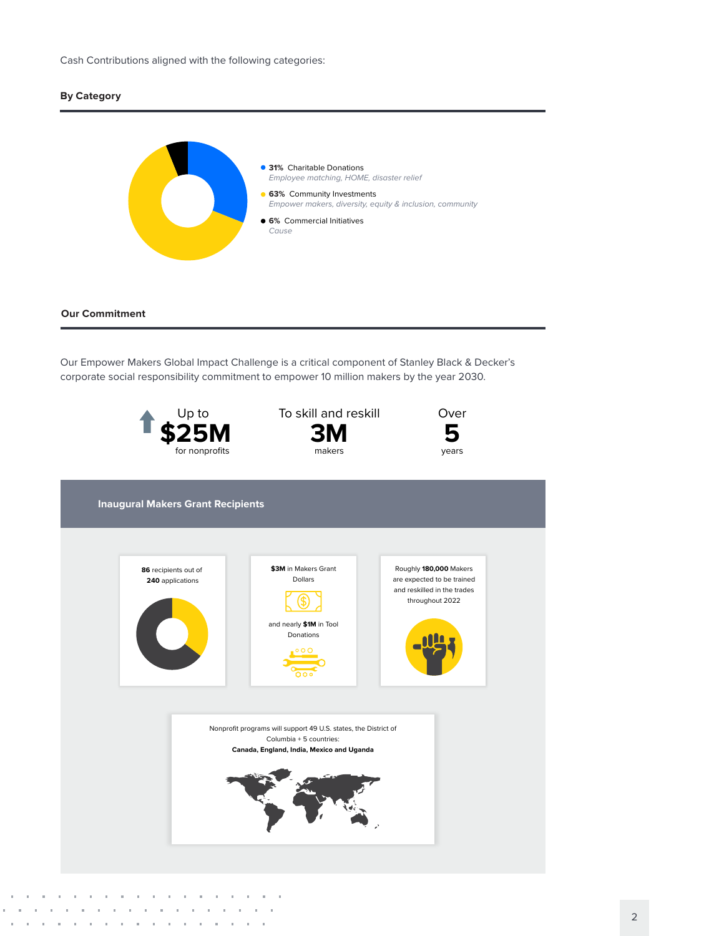Cash Contributions aligned with the following categories:

# **By Category**



# **Our Commitment**

Our Empower Makers Global Impact Challenge is a critical component of Stanley Black & Decker's corporate social responsibility commitment to empower 10 million makers by the year 2030.



×. h.  $\alpha$  $\alpha$ 

 $\alpha$ 

 $\bar{z}$  $\bar{z}$ 

 $\bar{a}$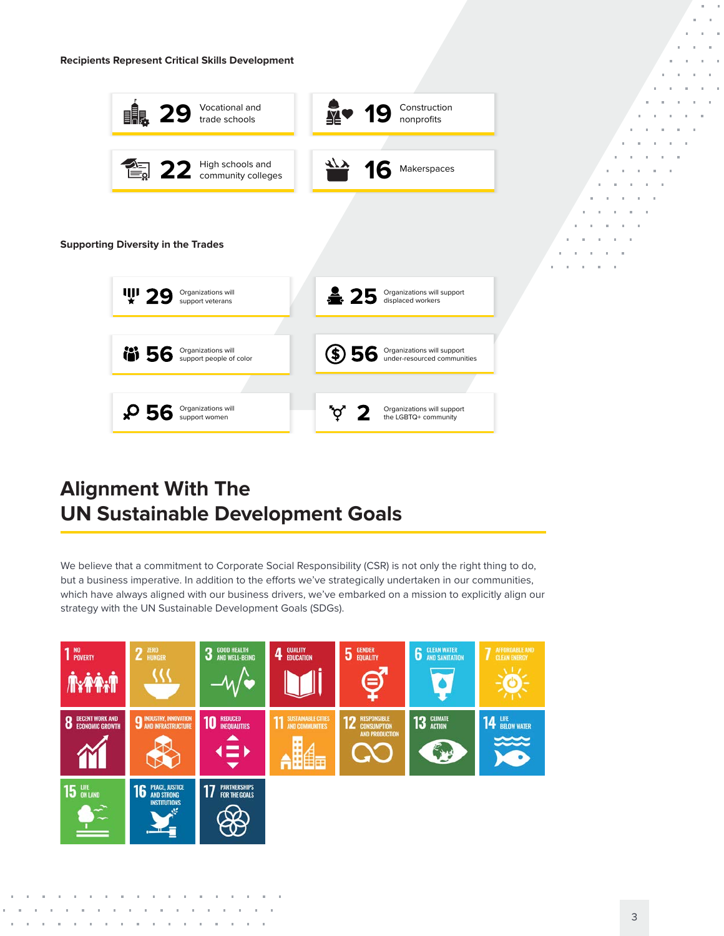

# **Alignment With The UN Sustainable Development Goals**

We believe that a commitment to Corporate Social Responsibility (CSR) is not only the right thing to do, but a business imperative. In addition to the efforts we've strategically undertaken in our communities, which have always aligned with our business drivers, we've embarked on a mission to explicitly align our strategy with the UN Sustainable Development Goals (SDGs).

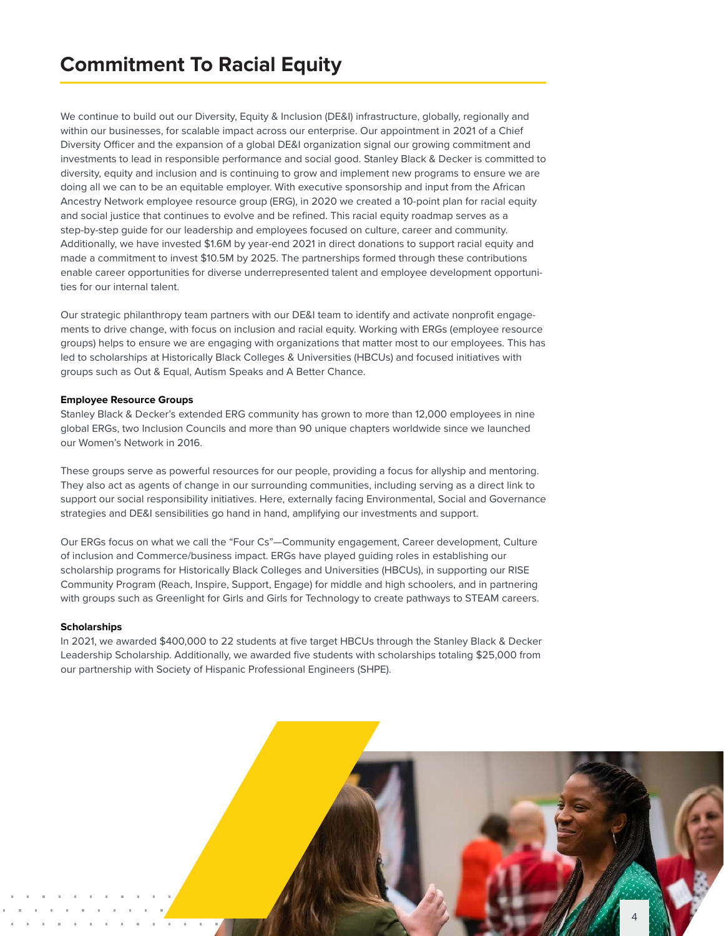We continue to build out our Diversity, Equity & Inclusion (DE&I) infrastructure, globally, regionally and within our businesses, for scalable impact across our enterprise. Our appointment in 2021 of a Chief Diversity Officer and the expansion of a global DE&I organization signal our growing commitment and investments to lead in responsible performance and social good. Stanley Black & Decker is committed to diversity, equity and inclusion and is continuing to grow and implement new programs to ensure we are doing all we can to be an equitable employer. With executive sponsorship and input from the African Ancestry Network employee resource group (ERG), in 2020 we created a 10-point plan for racial equity and social justice that continues to evolve and be refined. This racial equity roadmap serves as a step-by-step guide for our leadership and employees focused on culture, career and community. Additionally, we have invested \$1.6M by year-end 2021 in direct donations to support racial equity and made a commitment to invest \$10.5M by 2025. The partnerships formed through these contributions enable career opportunities for diverse underrepresented talent and employee development opportunities for our internal talent.

Our strategic philanthropy team partners with our DE&I team to identify and activate nonprofit engagements to drive change, with focus on inclusion and racial equity. Working with ERGs (employee resource groups) helps to ensure we are engaging with organizations that matter most to our employees. This has led to scholarships at Historically Black Colleges & Universities (HBCUs) and focused initiatives with groups such as Out & Equal, Autism Speaks and A Better Chance.

# **Employee Resource Groups**

Stanley Black & Decker's extended ERG community has grown to more than 12,000 employees in nine global ERGs, two Inclusion Councils and more than 90 unique chapters worldwide since we launched our Women's Network in 2016.

These groups serve as powerful resources for our people, providing a focus for allyship and mentoring. They also act as agents of change in our surrounding communities, including serving as a direct link to support our social responsibility initiatives. Here, externally facing Environmental, Social and Governance strategies and DE&I sensibilities go hand in hand, amplifying our investments and support.

Our ERGs focus on what we call the "Four Cs"—Community engagement, Career development, Culture of inclusion and Commerce/business impact. ERGs have played guiding roles in establishing our scholarship programs for Historically Black Colleges and Universities (HBCUs), in supporting our RISE Community Program (Reach, Inspire, Support, Engage) for middle and high schoolers, and in partnering with groups such as Greenlight for Girls and Girls for Technology to create pathways to STEAM careers.

### **Scholarships**

In 2021, we awarded \$400,000 to 22 students at five target HBCUs through the Stanley Black & Decker Leadership Scholarship. Additionally, we awarded five students with scholarships totaling \$25,000 from our partnership with Society of Hispanic Professional Engineers (SHPE).

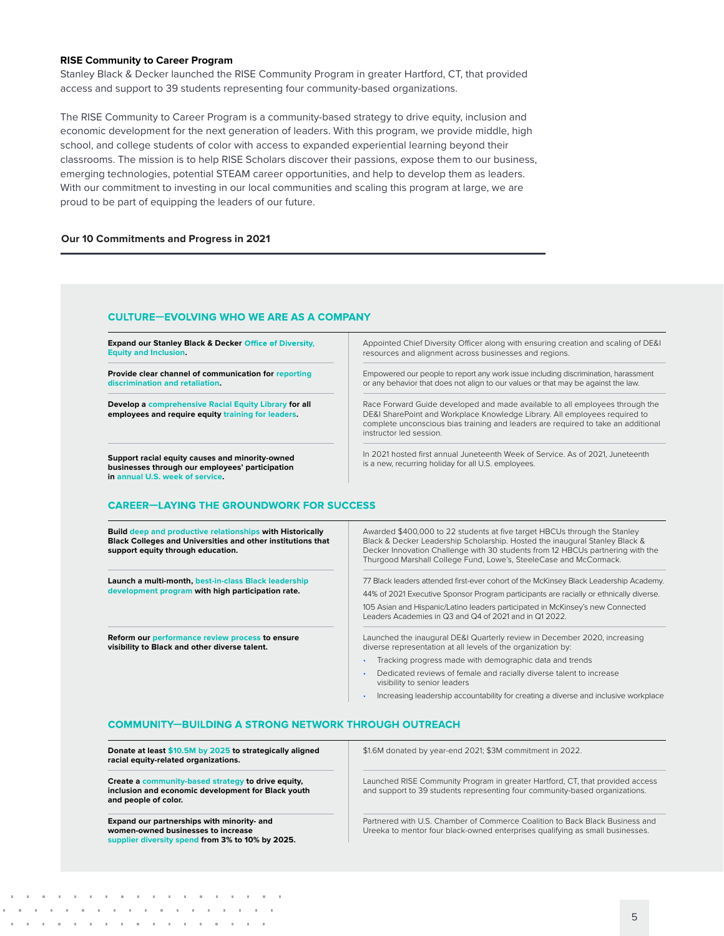## **RISE Community to Career Program**

Stanley Black & Decker launched the RISE Community Program in greater Hartford, CT, that provided access and support to 39 students representing four community-based organizations.

The RISE Community to Career Program is a community-based strategy to drive equity, inclusion and economic development for the next generation of leaders. With this program, we provide middle, high school, and college students of color with access to expanded experiential learning beyond their classrooms. The mission is to help RISE Scholars discover their passions, expose them to our business, emerging technologies, potential STEAM career opportunities, and help to develop them as leaders. With our commitment to investing in our local communities and scaling this program at large, we are proud to be part of equipping the leaders of our future.

#### **Our 10 Commitments and Progress in 2021**

#### **CULTURE-EVOLVING WHO WE ARE AS A COMPANY**

**Expand our Stanley Black & Decker Equity and Inclusion.**

**Provide clear channel of communication for reporting discrimination and retaliation.**

**Develop a comprehensive Racial Equity Library for all**  employees and require equity training for leader

**Support racial equity causes and minority-owned businesses through our employees' participation in annual U.S. week of service.**

# **CAREER-LAYING THE GROUNDWORK FOR SUCCESS**

**Build deep and productive relationships with Historically Black Colleges and Universities and other institutions that support equity through education.**

**Launch a multi-month, best-in-class Black leadership development program with high participation rate.**

**Reform our performance review process to ensure visibility to Black and other diverse talent.**

Appointed Chief Diversity Officer along with ensuring creation and scaling of DE&I resources and alignment across businesses and regions.

Empowered our people to report any work issue including discrimination, harassment or any behavior that does not align to our values or that may be against the law.

Race Forward Guide developed and made available to all employees through the DE&I SharePoint and Workplace Knowledge Library. All employees required to complete unconscious bias training and leaders are required to take an additional instructor led session.

In 2021 hosted first annual Juneteenth Week of Service. As of 2021, Juneteenth is a new, recurring holiday for all U.S. employees.

Awarded \$400,000 to 22 students at five target HBCUs through the Stanley Black & Decker Leadership Scholarship. Hosted the inaugural Stanley Black & Decker Innovation Challenge with 30 students from 12 HBCUs partnering with the Thurgood Marshall College Fund, Lowe's, SteeleCase and McCormack.

77 Black leaders attended first-ever cohort of the McKinsey Black Leadership Academy.

44% of 2021 Executive Sponsor Program participants are racially or ethnically diverse. 105 Asian and Hispanic/Latino leaders participated in McKinsey's new Connected Leaders Academies in Q3 and Q4 of 2021 and in Q1 2022.

Launched the inaugural DE&I Quarterly review in December 2020, increasing diverse representation at all levels of the organization by:

- Tracking progress made with demographic data and trends
- Dedicated reviews of female and racially diverse talent to increase visibility to senior leaders
- Increasing leadership accountability for creating a diverse and inclusive workplace

### **COMMUNITY-BUILDING A STRONG NETWORK THROUGH OUTREACH**

**Donate at least \$10.5M by 2025 to strategically aligned racial equity-related organizations.**

**Create a community-based strategy to drive equity, inclusion and economic development for Black youth and people of color.**

**Expand our partnerships with minority- and women-owned businesses to increase supplier diversity spend from 3% to 10% by 2025.** \$1.6M donated by year-end 2021; \$3M commitment in 2022.

Launched RISE Community Program in greater Hartford, CT, that provided access and support to 39 students representing four community-based organizations.

Partnered with U.S. Chamber of Commerce Coalition to Back Black Business and Ureeka to mentor four black-owned enterprises qualifying as small businesses.